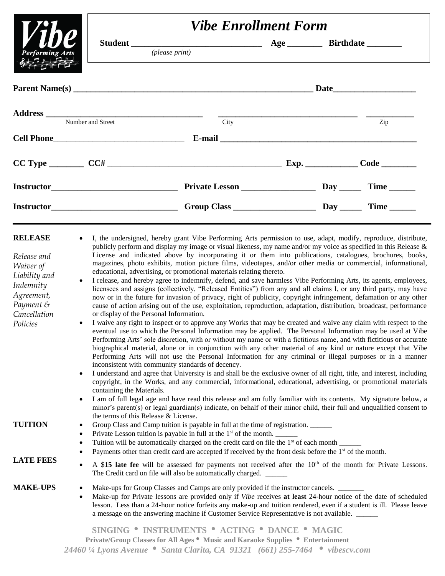|                                                                                                                                 | <b>Vibe Enrollment Form</b>                                                                                 |                                                                                                                                                                                                                                                                                                                                                                                                                                                                                                                                                                                                                                                                                                                                                                                                                                                                                                                                                                                                                                                                                                                                                      |  |  |     |
|---------------------------------------------------------------------------------------------------------------------------------|-------------------------------------------------------------------------------------------------------------|------------------------------------------------------------------------------------------------------------------------------------------------------------------------------------------------------------------------------------------------------------------------------------------------------------------------------------------------------------------------------------------------------------------------------------------------------------------------------------------------------------------------------------------------------------------------------------------------------------------------------------------------------------------------------------------------------------------------------------------------------------------------------------------------------------------------------------------------------------------------------------------------------------------------------------------------------------------------------------------------------------------------------------------------------------------------------------------------------------------------------------------------------|--|--|-----|
|                                                                                                                                 |                                                                                                             |                                                                                                                                                                                                                                                                                                                                                                                                                                                                                                                                                                                                                                                                                                                                                                                                                                                                                                                                                                                                                                                                                                                                                      |  |  |     |
| <b>Performing Arts</b>                                                                                                          |                                                                                                             | (please print)                                                                                                                                                                                                                                                                                                                                                                                                                                                                                                                                                                                                                                                                                                                                                                                                                                                                                                                                                                                                                                                                                                                                       |  |  |     |
|                                                                                                                                 |                                                                                                             |                                                                                                                                                                                                                                                                                                                                                                                                                                                                                                                                                                                                                                                                                                                                                                                                                                                                                                                                                                                                                                                                                                                                                      |  |  |     |
|                                                                                                                                 | Number and Street                                                                                           |                                                                                                                                                                                                                                                                                                                                                                                                                                                                                                                                                                                                                                                                                                                                                                                                                                                                                                                                                                                                                                                                                                                                                      |  |  |     |
|                                                                                                                                 |                                                                                                             | City                                                                                                                                                                                                                                                                                                                                                                                                                                                                                                                                                                                                                                                                                                                                                                                                                                                                                                                                                                                                                                                                                                                                                 |  |  | Zip |
|                                                                                                                                 |                                                                                                             |                                                                                                                                                                                                                                                                                                                                                                                                                                                                                                                                                                                                                                                                                                                                                                                                                                                                                                                                                                                                                                                                                                                                                      |  |  |     |
|                                                                                                                                 |                                                                                                             |                                                                                                                                                                                                                                                                                                                                                                                                                                                                                                                                                                                                                                                                                                                                                                                                                                                                                                                                                                                                                                                                                                                                                      |  |  |     |
|                                                                                                                                 |                                                                                                             |                                                                                                                                                                                                                                                                                                                                                                                                                                                                                                                                                                                                                                                                                                                                                                                                                                                                                                                                                                                                                                                                                                                                                      |  |  |     |
|                                                                                                                                 |                                                                                                             |                                                                                                                                                                                                                                                                                                                                                                                                                                                                                                                                                                                                                                                                                                                                                                                                                                                                                                                                                                                                                                                                                                                                                      |  |  |     |
| <b>RELEASE</b><br>Release and<br>Waiver of<br>Liability and<br>Indemnity<br>Agreement,<br>Payment &<br>Cancellation<br>Policies | $\bullet$<br>$\bullet$<br>or display of the Personal Information.<br>$\bullet$                              | I, the undersigned, hereby grant Vibe Performing Arts permission to use, adapt, modify, reproduce, distribute,<br>publicly perform and display my image or visual likeness, my name and/or my voice as specified in this Release $\&$<br>License and indicated above by incorporating it or them into publications, catalogues, brochures, books,<br>magazines, photo exhibits, motion picture films, videotapes, and/or other media or commercial, informational,<br>educational, advertising, or promotional materials relating thereto.<br>I release, and hereby agree to indemnify, defend, and save harmless Vibe Performing Arts, its agents, employees,<br>licensees and assigns (collectively, "Released Entities") from any and all claims I, or any third party, may have<br>now or in the future for invasion of privacy, right of publicity, copyright infringement, defamation or any other<br>cause of action arising out of the use, exploitation, reproduction, adaptation, distribution, broadcast, performance<br>I waive any right to inspect or to approve any Works that may be created and waive any claim with respect to the |  |  |     |
|                                                                                                                                 | eventual use to which the Personal Information may be applied. The Personal Information may be used at Vibe |                                                                                                                                                                                                                                                                                                                                                                                                                                                                                                                                                                                                                                                                                                                                                                                                                                                                                                                                                                                                                                                                                                                                                      |  |  |     |

- Performing Arts' sole discretion, with or without my name or with a fictitious name, and with fictitious or accurate biographical material, alone or in conjunction with any other material of any kind or nature except that Vibe Performing Arts will not use the Personal Information for any criminal or illegal purposes or in a manner inconsistent with community standards of decency.
	- I understand and agree that University is and shall be the exclusive owner of all right, title, and interest, including copyright, in the Works, and any commercial, informational, educational, advertising, or promotional materials containing the Materials.
	- I am of full legal age and have read this release and am fully familiar with its contents. My signature below, a minor's parent(s) or legal guardian(s) indicate, on behalf of their minor child, their full and unqualified consent to the terms of this Release & License.

# **TUITION** • Group Class and Camp tuition is payable in full at the time of registration.

Private Lesson tuition is payable in full at the  $1<sup>st</sup>$  of the month.

The Credit card on file will also be automatically charged. \_\_\_\_\_\_

- Tuition will be automatically charged on the credit card on file the  $1<sup>st</sup>$  of each month
- Payments other than credit card are accepted if received by the front desk before the 1<sup>st</sup> of the month.

# **LATE FEES**

- **MAKE-UPS** Make-ups for Group Classes and Camps are only provided if the instructor cancels.
	- Make-up for Private lessons are provided only if *Vibe* receives **at least** 24-hour notice of the date of scheduled lesson. Less than a 24-hour notice forfeits any make-up and tuition rendered, even if a student is ill. Please leave a message on the answering machine if Customer Service Representative is not available.

• A \$15 late fee will be assessed for payments not received after the 10<sup>th</sup> of the month for Private Lessons.